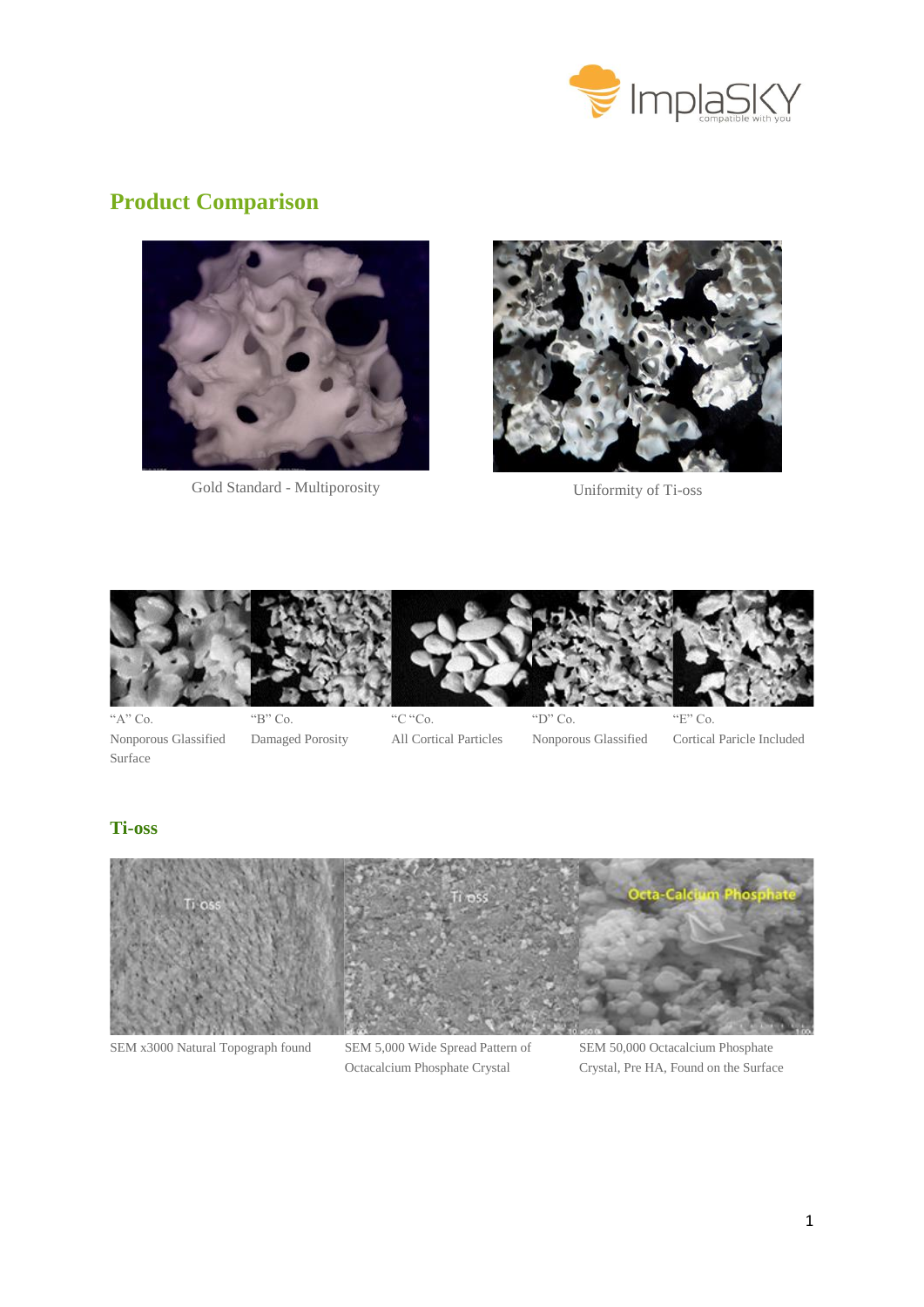

# **Product Comparison**



Gold Standard - Multiporosity Uniformity of Ti-oss





" $A$ " Co. Nonporous Glassified Surface

"B" Co. Damaged Porosity



"C "Co. All Cortical Particles



"D" Co. Nonporous Glassified

Cortical Paricle Included

## **Ti-oss**



SEM x3000 Natural Topograph found SEM 5,000 Wide Spread Pattern of

Octacalcium Phosphate Crystal

SEM 50,000 Octacalcium Phosphate Crystal, Pre HA, Found on the Surface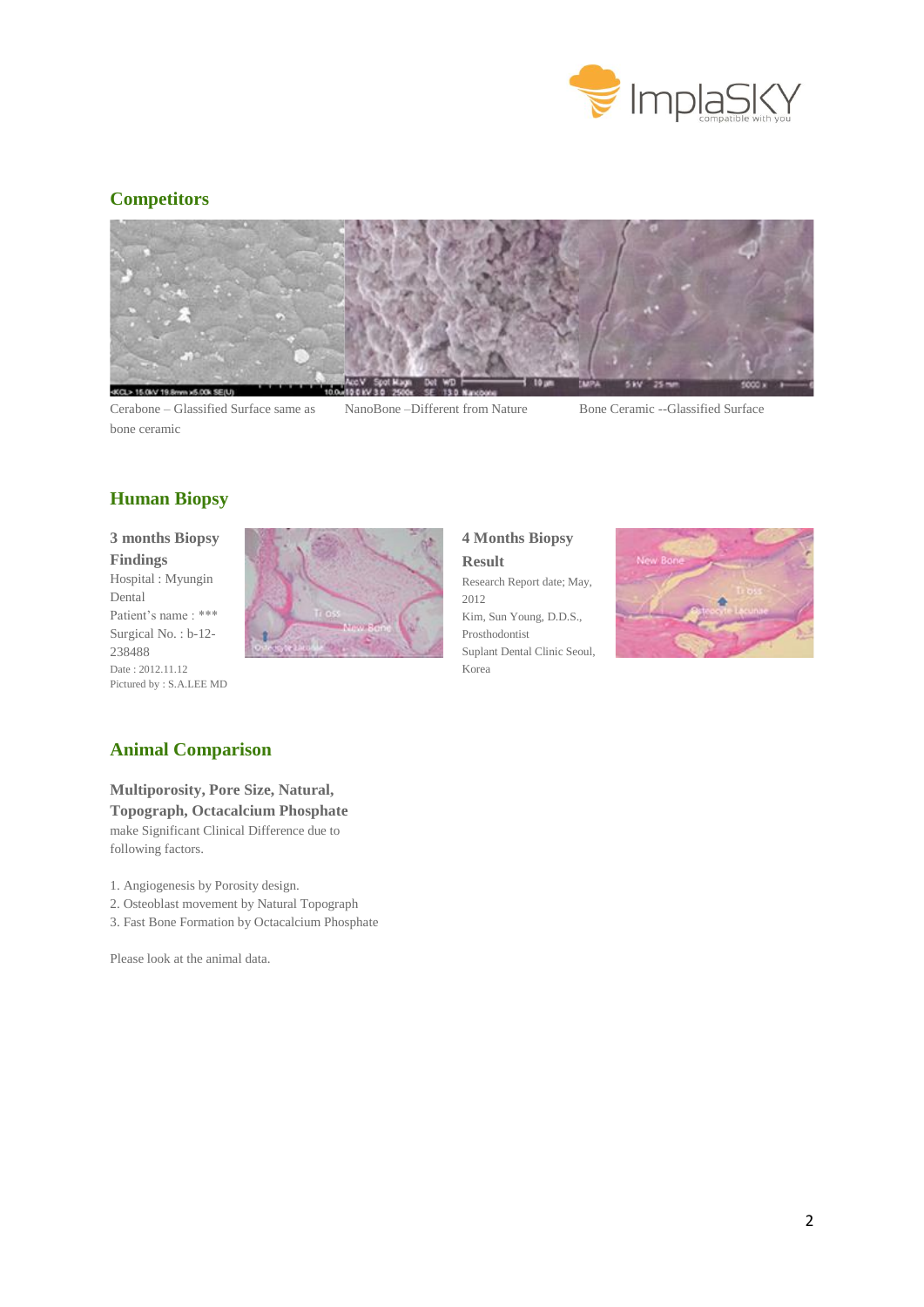

## **Competitors**



Cerabone – Glassified Surface same as bone ceramic

NanoBone –Different from Nature Bone Ceramic --Glassified Surface

## **Human Biopsy**

#### **3 months Biopsy Findings** Hospital : Myungin Dental Patient's name: \*\*\*

Surgical No. : b-12- 238488 Date : 2012.11.12 Pictured by : S.A.LEE MD



**4 Months Biopsy Result** Research Report date; May, 2012 Kim, Sun Young, D.D.S., Prosthodontist Suplant Dental Clinic Seoul, Korea



### **Animal Comparison**

#### **Multiporosity, Pore Size, Natural,**

**Topograph, Octacalcium Phosphate**  make Significant Clinical Difference due to following factors.

1. Angiogenesis by Porosity design.

- 2. Osteoblast movement by Natural Topograph
- 3. Fast Bone Formation by Octacalcium Phosphate

Please look at the animal data.